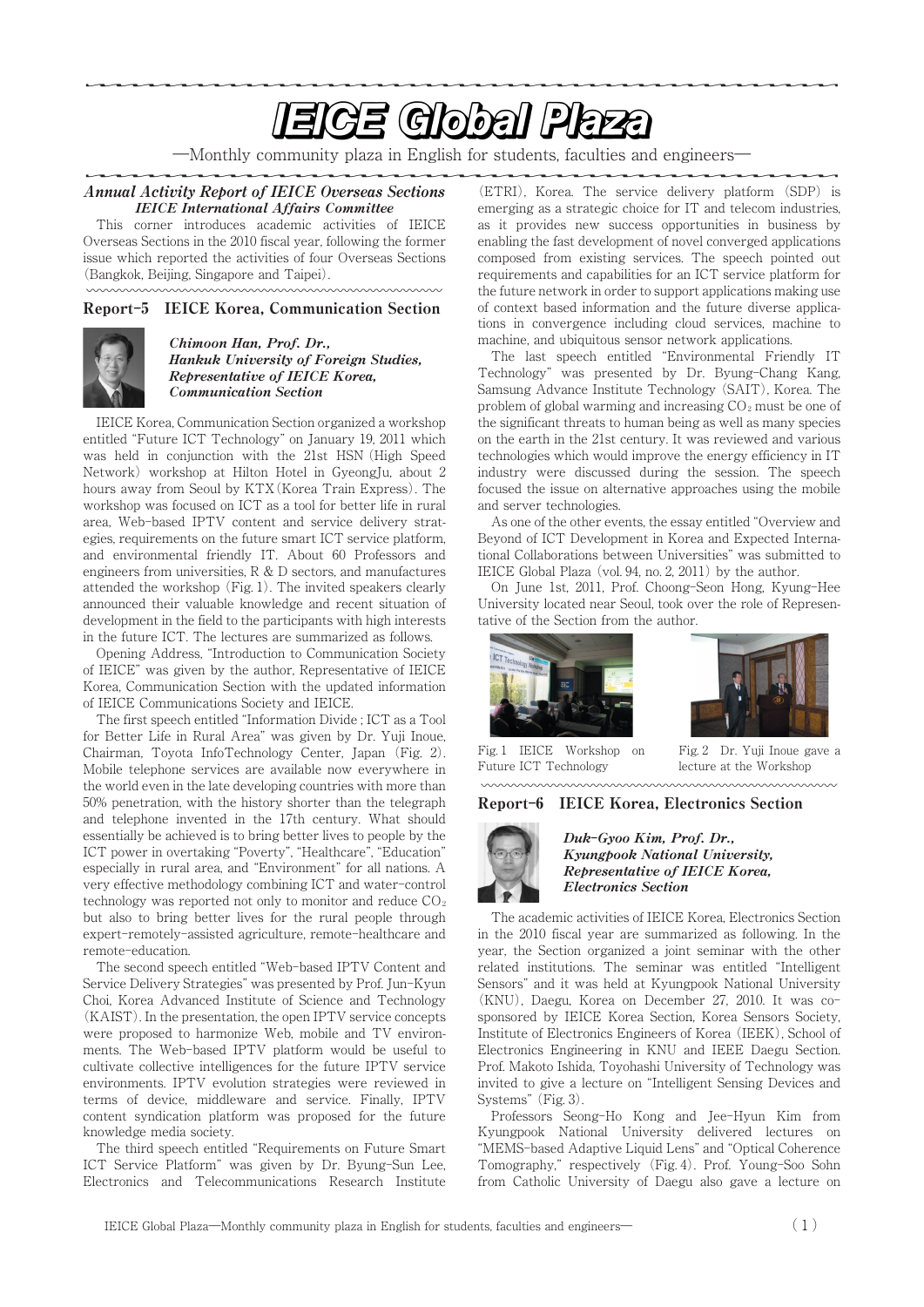# **EIGE Global Plaza**

―Monthly community plaza in English for students, faculties and engineers―

#### Annual Activity Report of IEICE Overseas Sections IEICE International Affairs Committee

This corner introduces academic activities of IEICE Overseas Sections in the 2010 fiscal year, following the former issue which reported the activities of four Overseas Sections (Bangkok, Beijing, Singapore and Taipei).

### Report**-**5 IEICE Korea, Communication Section



#### Chimoon Han, Prof. Dr., Hankuk University of Foreign Studies, Representative of IEICE Korea, Communication Section

IEICE Korea, Communication Section organized a workshop entitled "Future ICT Technology" on January 19, 2011 which was held in conjunction with the 21st HSN (High Speed Network) workshop at Hilton Hotel in GyeongJu, about 2 hours away from Seoul by KTX(Korea Train Express). The workshop was focused on ICT as a tool for better life in rural area, Web-based IPTV content and service delivery strategies, requirements on the future smart ICT service platform, and environmental friendly IT. About 60 Professors and engineers from universities,R&D sectors, and manufactures attended the workshop (Fig. 1). The invited speakers clearly announced their valuable knowledge and recent situation of development in the field to the participants with high interests in the future ICT. The lectures are summarized as follows.

Opening Address, "Introduction to Communication Society of IEICE" was given by the author, Representative of IEICE Korea, Communication Section with the updated information of IEICE Communications Society and IEICE.

The first speech entitled "Information Divide ; ICT as a Tool for Better Life in Rural Area" was given by Dr. Yuji Inoue, Chairman, Toyota InfoTechnology Center, Japan (Fig. 2). Mobile telephone services are available now everywhere in the world even in the late developing countries with more than 50% penetration, with the history shorter than the telegraph and telephone invented in the 17th century. What should essentially be achieved is to bring better lives to people by the ICT power in overtaking "Poverty", "Healthcare", "Education" especially in rural area, and "Environment" for all nations. A very effective methodology combining ICT and water-control technology was reported not only to monitor and reduce  $CO<sub>2</sub>$ but also to bring better lives for the rural people through expert-remotely-assisted agriculture, remote-healthcare and remote-education.

The second speech entitled "Web-based IPTV Content and Service Delivery Strategies" was presented by Prof. Jun-Kyun Choi, Korea Advanced Institute of Science and Technology (KAIST). In the presentation, the open IPTV service concepts were proposed to harmonize Web, mobile and TV environments. The Web-based IPTV platform would be useful to cultivate collective intelligences for the future IPTV service environments. IPTV evolution strategies were reviewed in terms of device, middleware and service. Finally, IPTV content syndication platform was proposed for the future knowledge media society.

The third speech entitled "Requirements on Future Smart ICT Service Platform" was given by Dr. Byung-Sun Lee, Electronics and Telecommunications Research Institute (ETRI), Korea. The service delivery platform (SDP) is emerging as a strategic choice for IT and telecom industries, as it provides new success opportunities in business by enabling the fast development of novel converged applications composed from existing services. The speech pointed out requirements and capabilities for an ICT service platform for the future network in order to support applications making use of context based information and the future diverse applications in convergence including cloud services, machine to machine, and ubiquitous sensor network applications.

The last speech entitled "Environmental Friendly IT Technology" was presented by Dr. Byung-Chang Kang, Samsung Advance Institute Technology (SAIT), Korea. The problem of global warming and increasing  $CO<sub>2</sub>$  must be one of the significant threats to human being as well as many species on the earth in the 21st century. It was reviewed and various technologies which would improve the energy efficiency in IT industry were discussed during the session. The speech focused the issue on alternative approaches using the mobile and server technologies.

As one of the other events, the essay entitled "Overview and Beyond of ICT Development in Korea and Expected International Collaborations between Universities" was submitted to IEICE Global Plaza (vol. 94, no. 2, 2011) by the author.

On June 1st, 2011, Prof. Choong-Seon Hong, Kyung-Hee University located near Seoul, took over the role of Representative of the Section from the author.





Fig. 1 IEICE Workshop on Future ICT Technology Future ICT Technology lecture at the Workshop

Fig. 2 Dr. Yuji Inoue gave a

### Report**-**6 IEICE Korea, Electronics Section



Duk**-**Gyoo Kim, Prof. Dr., Kyungpook National University, Representative of IEICE Korea, Electronics Section

The academic activities of IEICE Korea, Electronics Section in the 2010 fiscal year are summarized as following. In the year, the Section organized a joint seminar with the other related institutions. The seminar was entitled "Intelligent Sensors" and it was held at Kyungpook National University (KNU), Daegu, Korea on December 27, 2010. It was cosponsored by IEICE Korea Section, Korea Sensors Society, Institute of Electronics Engineers of Korea (IEEK), School of Electronics Engineering in KNU and IEEE Daegu Section. Prof. Makoto Ishida, Toyohashi University of Technology was invited to give a lecture on "Intelligent Sensing Devices and Systems" (Fig. 3).

Professors Seong-Ho Kong and Jee-Hyun Kim from Kyungpook National University delivered lectures on "MEMS-based Adaptive Liquid Lens" and "Optical Coherence Tomography," respectively (Fig. 4). Prof. Young-Soo Sohn from Catholic University of Daegu also gave a lecture on